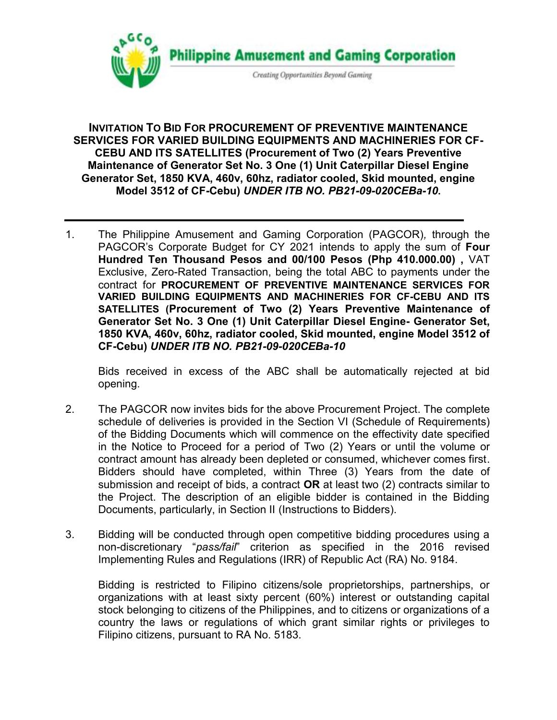

**INVITATION TO BID FOR PROCUREMENT OF PREVENTIVE MAINTENANCE SERVICES FOR VARIED BUILDING EQUIPMENTS AND MACHINERIES FOR CF-CEBU AND ITS SATELLITES (Procurement of Two (2) Years Preventive Maintenance of Generator Set No. 3 One (1) Unit Caterpillar Diesel Engine Generator Set, 1850 KVA, 460v, 60hz, radiator cooled, Skid mounted, engine Model 3512 of CF-Cebu)** *UNDER ITB NO. PB21-09-020CEBa-10***.**

1. The Philippine Amusement and Gaming Corporation (PAGCOR)*,* through the PAGCOR's Corporate Budget for CY 2021 intends to apply the sum of **Four Hundred Ten Thousand Pesos and 00/100 Pesos (Php 410.000.00) ,** VAT Exclusive, Zero-Rated Transaction, being the total ABC to payments under the contract for **PROCUREMENT OF PREVENTIVE MAINTENANCE SERVICES FOR VARIED BUILDING EQUIPMENTS AND MACHINERIES FOR CF-CEBU AND ITS SATELLITES (Procurement of Two (2) Years Preventive Maintenance of Generator Set No. 3 One (1) Unit Caterpillar Diesel Engine- Generator Set, 1850 KVA, 460v, 60hz, radiator cooled, Skid mounted, engine Model 3512 of CF-Cebu)** *UNDER ITB NO. PB21-09-020CEBa-10*

Bids received in excess of the ABC shall be automatically rejected at bid opening.

- 2. The PAGCOR now invites bids for the above Procurement Project. The complete schedule of deliveries is provided in the Section VI (Schedule of Requirements) of the Bidding Documents which will commence on the effectivity date specified in the Notice to Proceed for a period of Two (2) Years or until the volume or contract amount has already been depleted or consumed, whichever comes first. Bidders should have completed, within Three (3) Years from the date of submission and receipt of bids, a contract **OR** at least two (2) contracts similar to the Project. The description of an eligible bidder is contained in the Bidding Documents, particularly, in Section II (Instructions to Bidders).
- 3. Bidding will be conducted through open competitive bidding procedures using a non-discretionary "*pass/fail*" criterion as specified in the 2016 revised Implementing Rules and Regulations (IRR) of Republic Act (RA) No. 9184.

Bidding is restricted to Filipino citizens/sole proprietorships, partnerships, or organizations with at least sixty percent (60%) interest or outstanding capital stock belonging to citizens of the Philippines, and to citizens or organizations of a country the laws or regulations of which grant similar rights or privileges to Filipino citizens, pursuant to RA No. 5183.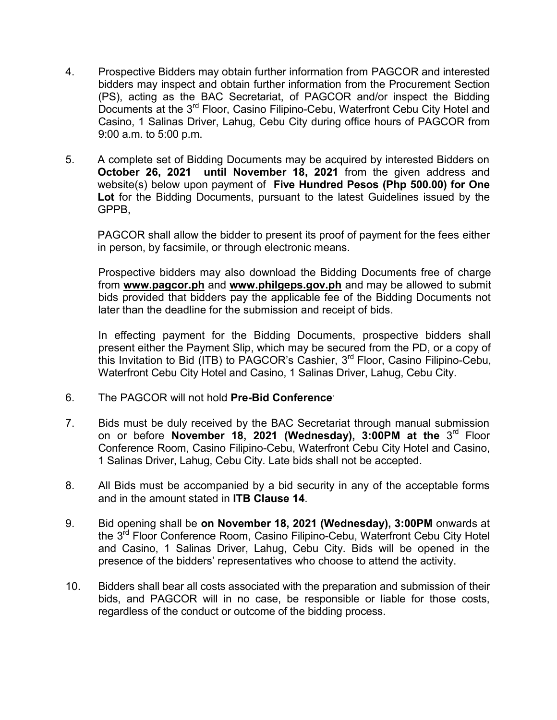- 4. Prospective Bidders may obtain further information from PAGCOR and interested bidders may inspect and obtain further information from the Procurement Section (PS), acting as the BAC Secretariat, of PAGCOR and/or inspect the Bidding Documents at the 3<sup>rd</sup> Floor, Casino Filipino-Cebu, Waterfront Cebu City Hotel and Casino, 1 Salinas Driver, Lahug, Cebu City during office hours of PAGCOR from 9:00 a.m. to 5:00 p.m.
- 5. A complete set of Bidding Documents may be acquired by interested Bidders on **October 26, 2021 until November 18, 2021** from the given address and website(s) below upon payment of **Five Hundred Pesos (Php 500.00) for One Lot** for the Bidding Documents, pursuant to the latest Guidelines issued by the GPPB,

PAGCOR shall allow the bidder to present its proof of payment for the fees either in person, by facsimile, or through electronic means.

Prospective bidders may also download the Bidding Documents free of charge from **[www.pagcor.ph](http://www.pagcor.ph/)** and **www.philgeps.gov.ph** and may be allowed to submit bids provided that bidders pay the applicable fee of the Bidding Documents not later than the deadline for the submission and receipt of bids.

In effecting payment for the Bidding Documents, prospective bidders shall present either the Payment Slip, which may be secured from the PD, or a copy of this Invitation to Bid (ITB) to PAGCOR's Cashier,  $3^{\mathsf{rd}}$  Floor, Casino Filipino-Cebu, Waterfront Cebu City Hotel and Casino, 1 Salinas Driver, Lahug, Cebu City.

- 6. The PAGCOR will not hold **Pre-Bid Conference.**
- 7. Bids must be duly received by the BAC Secretariat through manual submission on or before **November 18, 2021 (Wednesday), 3:00PM at the** 3<sup>rd</sup> Floor Conference Room, Casino Filipino-Cebu, Waterfront Cebu City Hotel and Casino, 1 Salinas Driver, Lahug, Cebu City. Late bids shall not be accepted.
- 8. All Bids must be accompanied by a bid security in any of the acceptable forms and in the amount stated in **ITB Clause 14**.
- 9. Bid opening shall be **on November 18, 2021 (Wednesday), 3:00PM** onwards at the 3<sup>rd</sup> Floor Conference Room, Casino Filipino-Cebu, Waterfront Cebu City Hotel and Casino, 1 Salinas Driver, Lahug, Cebu City. Bids will be opened in the presence of the bidders' representatives who choose to attend the activity.
- 10. Bidders shall bear all costs associated with the preparation and submission of their bids, and PAGCOR will in no case, be responsible or liable for those costs, regardless of the conduct or outcome of the bidding process.